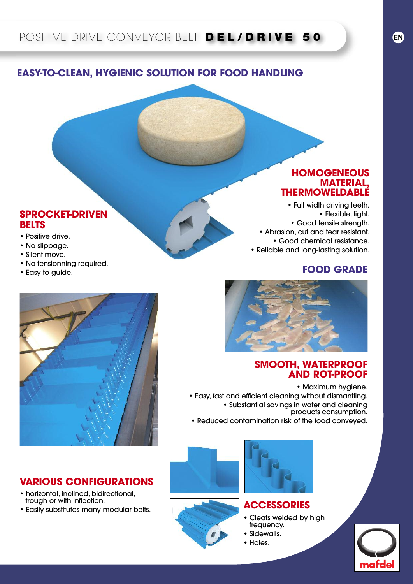## **EASY-TO-CLEAN, HYGIENIC SOLUTION FOR FOOD HANDLING**

#### **SPROCKET-DRIVEN BELTS**

- Positive drive.
- No slippage.
- Silent move.
- No tensionning required.
- Easy to guide.

## **HOMOGENEOUS MATERIAL, THERMOWELDABLE**

• Full width driving teeth. • Flexible, light. • Good tensile strength. • Abrasion, cut and tear resistant. • Good chemical resistance. • Reliable and long-lasting solution.

### **FOOD GRADE**



### **SMOOTH, WATERPROOF AND ROT-PROOF**

• Maximum hygiene. • Easy, fast and efficient cleaning without dismantling. • Substantial savings in water and cleaning products consumption.

• Reduced contamination risk of the food conveyed.





#### **ACCESSORIES**

- Cleats welded by high frequency. • Sidewalls.
- Holes.
	-





## **VARIOUS CONFIGURATIONS**

- horizontal, inclined, bidirectional, trough or with inflection.
- Easily substitutes many modular belts.